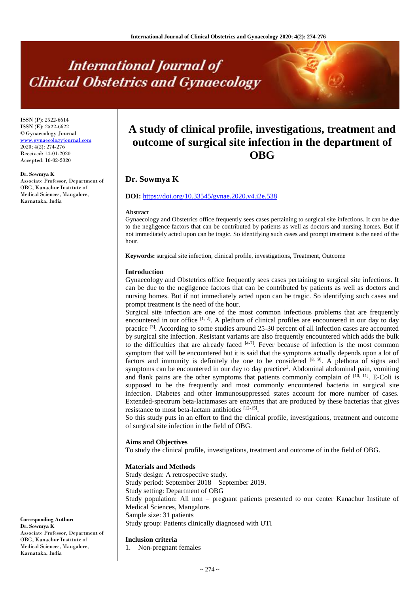# **International Journal of Clinical Obstetrics and Gynaecology**

ISSN (P): 2522-6614 ISSN (E): 2522-6622 © Gynaecology Journal <www.gynaecologyjournal.com> 2020; 4(2): 274-276 Received: 14-01-2020 Accepted: 16-02-2020

**Dr. Sowmya K** Associate Professor, Department of OBG, Kanachur Institute of Medical Sciences, Mangalore, Karnataka, India

# **A study of clinical profile, investigations, treatment and outcome of surgical site infection in the department of OBG**

# **Dr. Sowmya K**

#### **DOI:** <https://doi.org/10.33545/gynae.2020.v4.i2e.538>

#### **Abstract**

Gynaecology and Obstetrics office frequently sees cases pertaining to surgical site infections. It can be due to the negligence factors that can be contributed by patients as well as doctors and nursing homes. But if not immediately acted upon can be tragic. So identifying such cases and prompt treatment is the need of the hour.

**Keywords:** surgical site infection, clinical profile, investigations, Treatment, Outcome

#### **Introduction**

Gynaecology and Obstetrics office frequently sees cases pertaining to surgical site infections. It can be due to the negligence factors that can be contributed by patients as well as doctors and nursing homes. But if not immediately acted upon can be tragic. So identifying such cases and prompt treatment is the need of the hour.

Surgical site infection are one of the most common infectious problems that are frequently encountered in our office  $[1, 2]$ . A plethora of clinical profiles are encountered in our day to day practice <sup>[3]</sup>. According to some studies around 25-30 percent of all infection cases are accounted by surgical site infection. Resistant variants are also frequently encountered which adds the bulk to the difficulties that are already faced  $[4-7]$ . Fever because of infection is the most common symptom that will be encountered but it is said that the symptoms actually depends upon a lot of factors and immunity is definitely the one to be considered  $[8, 9]$ . A plethora of signs and symptoms can be encountered in our day to day practice<sup>3</sup>. Abdominal abdominal pain, vomiting and flank pains are the other symptoms that patients commonly complain of  $[10, 11]$ . E-Coli is supposed to be the frequently and most commonly encountered bacteria in surgical site infection. Diabetes and other immunosuppressed states account for more number of cases. Extended-spectrum beta-lactamases are enzymes that are produced by these bacterias that gives resistance to most beta-lactam antibiotics [12-15].

So this study puts in an effort to find the clinical profile, investigations, treatment and outcome of surgical site infection in the field of OBG.

#### **Aims and Objectives**

To study the clinical profile, investigations, treatment and outcome of in the field of OBG.

#### **Materials and Methods**

Study design: A retrospective study. Study period: September 2018 – September 2019. Study setting: Department of OBG Study population: All non – pregnant patients presented to our center Kanachur Institute of Medical Sciences, Mangalore. Sample size: 31 patients Study group: Patients clinically diagnosed with UTI

#### **Inclusion criteria**

1. Non-pregnant females

**Corresponding Author: Dr. Sowmya K** Associate Professor, Department of OBG, Kanachur Institute of Medical Sciences, Mangalore, Karnataka, India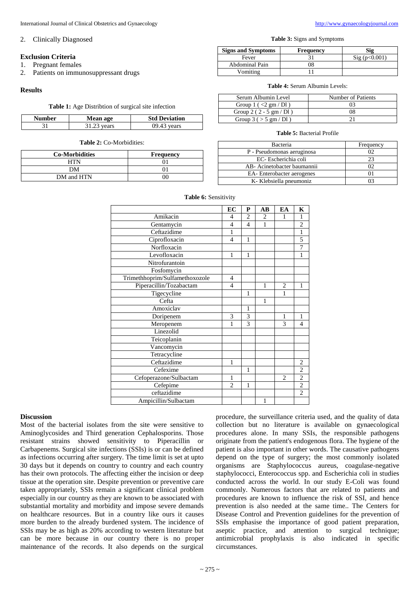#### **Exclusion Criteria**

- 1. Pregnant females
- 2. Patients on immunosuppressant drugs

#### **Results**

**Discussion**

**Table 1:** Age Distribtion of surgical site infection

| Number | Mean age | <b>Std Deviation</b>             |  |  |  |
|--------|----------|----------------------------------|--|--|--|
|        | vears    | $\bigcap Q$ $\bigcap P$<br>vears |  |  |  |

#### **Table 2:** Co-Morbidities:

| <b>Co-Morbidities</b> | Frequency |  |  |  |
|-----------------------|-----------|--|--|--|
| HTN                   |           |  |  |  |
| DМ                    |           |  |  |  |
| DM and HTN            |           |  |  |  |

|                                | EC | P              | $\overline{AB}$ | EA                            | K |
|--------------------------------|----|----------------|-----------------|-------------------------------|---|
| Amikacin                       | 4  | $\overline{c}$ | 2               |                               | 1 |
| Gentamycin                     | 4  | 4              |                 |                               | 2 |
| Ceftazidime                    |    |                |                 |                               |   |
| Ciprofloxacin                  | 4  | 1              |                 |                               | 5 |
| Norfloxacin                    |    |                |                 |                               |   |
| Levofloxacin                   |    |                |                 |                               |   |
| Nitrofurantoin                 |    |                |                 |                               |   |
| Fosfomycin                     |    |                |                 |                               |   |
| Trimethhoprim/Sulfamethoxozole | 4  |                |                 |                               |   |
| Piperacillin/Tozabactam        | 4  |                |                 | $\mathfrak{D}_{\mathfrak{p}}$ |   |
| Tigecycline                    |    |                |                 |                               |   |
| Cefta                          |    |                |                 |                               |   |
| Amoxiclav                      |    | 1              |                 |                               |   |
| Doripenem                      | 3  | 3              |                 |                               | 1 |

Meropenem 1 3 3 4

Ceftazidime 1 1 2 Cefexime 1 2 Cefoperazone/Sulbactam 1 1 2 2 Cefepime 2 1 2

Linezolid Teicoplanin Vancomycin **Tetracycline** 

ceftazidime Ampicillin/Sulbactam 1

### **Table 3:** Signs and Symptoms

| <b>Signs and Symptoms</b> | <b>Frequency</b> | Sig          |  |  |  |
|---------------------------|------------------|--------------|--|--|--|
| Fever                     |                  | Sig(p<0.001) |  |  |  |
| Abdominal Pain            | )8               |              |  |  |  |
| Vomiting                  |                  |              |  |  |  |

## **Table 4:** Serum Albumin Levels:

| Serum Albumin Level                                               | Number of Patients |
|-------------------------------------------------------------------|--------------------|
| Group $1 \left( \langle 2 \text{ gm} / \text{DI} \rangle \right)$ |                    |
| Group 2 ( $2 - 5$ gm / Dl)                                        |                    |
| Group $3$ ( $>$ 5 gm / Dl )                                       |                    |

#### **Table 5:** Bacterial Profile

| Bacteria                    | Frequency |
|-----------------------------|-----------|
| P - Pseudomonas aeruginosa  |           |
| EC-Escherichia coli         |           |
| AB- Acinetobacter baumannii |           |
| EA-Enterobacter aerogenes   |           |
| K- Klebsiella pneumoniz     |           |

|                | 1 |  |  |  |                                                                    |
|----------------|---|--|--|--|--------------------------------------------------------------------|
|                |   |  |  |  |                                                                    |
|                |   |  |  |  | procedure, the surveillance criteria used, and the quality of data |
|                |   |  |  |  | collection but no literature is available on gynaecological        |
|                |   |  |  |  | procedures alone. In many SSIs, the responsible pathogens          |
|                |   |  |  |  | originate from the patient's endogenous flora. The hygiene of the  |
|                |   |  |  |  | patient is also important in other words. The causative pathogens  |
|                |   |  |  |  | depend on the type of surgery; the most commonly isolated          |
|                |   |  |  |  | organisms are Staphylococcus aureus, coagulase-negative            |
|                |   |  |  |  | staphylococci, Enterococcus spp. and Escherichia coli in studies   |
|                |   |  |  |  | conducted across the world. In our study E-Coli was found          |
|                |   |  |  |  | commonly. Numerous factors that are related to patients and        |
|                |   |  |  |  | procedures are known to influence the risk of SSI, and hence       |
|                |   |  |  |  | prevention is also needed at the same time The Centers for         |
|                |   |  |  |  | Disease Control and Prevention guidelines for the prevention of    |
|                |   |  |  |  | SSIs emphasise the importance of good patient preparation,         |
|                |   |  |  |  | aseptic practice, and attention to surgical technique;             |
|                |   |  |  |  | antimicrobial prophylaxis is also indicated in specific            |
| circumstances. |   |  |  |  |                                                                    |
|                |   |  |  |  |                                                                    |

Aminoglycosides and Third generation Cephalosporins. Those resistant strains showed sensitivity to Piperacillin or Carbapenems. Surgical site infections (SSIs) is or can be defined as infections occurring after surgery. The time limit is set at upto 30 days but it depends on country to country and each country has their own protocols. The affecting either the incision or deep tissue at the operation site. Despite prevention or preventive care taken appropriately, SSIs remain a significant clinical problem especially in our country as they are known to be associated with substantial mortality and morbidity and impose severe demands on healthcare resources. But in a country like ours it causes more burden to the already burdened system. The incidence of SSIs may be as high as 20% according to western literature but can be more because in our country there is no proper maintenance of the records. It also depends on the surgical

Most of the bacterial isolates from the site were sensitive to